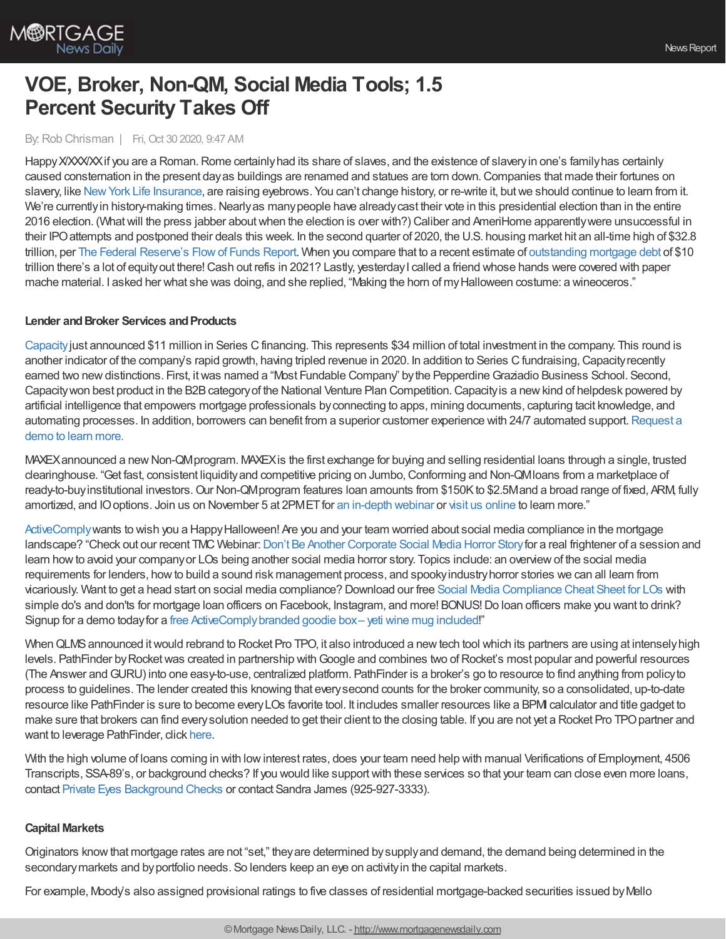

# **VOE, Broker, Non-QM, Social Media Tools; 1.5 Percent Security Takes Off**

## By:Rob Chrisman | Fri, Oct 30 2020, 9:47 AM

Happy X/XXXX if you are a Roman. Rome certainly had its share of slaves, and the existence of slavery in one's family has certainly caused consternation in the present dayas buildings are renamed and statues are torn down.Companies that made their fortunes on slavery, like New York Life [Insurance](https://www.nytimes.com/2016/12/18/us/insurance-policies-on-slaves-new-york-lifes-complicated-past.html), are raising eyebrows. You can't change history, or re-write it, but we should continue to learn from it. We're currently in history-making times. Nearly as many people have already cast their vote in this presidential election than in the entire 2016 election. (Whatwill the press jabber aboutwhen the election is over with?) Caliber and AmeriHome apparentlywere unsuccessful in their IPOattempts and postponed their deals this week. In the second quarter of 2020, the U.S. housing market hit an all-time high of \$32.8 trillion, per The Federal [Reserve's](https://www.federalreserve.gov/releases/z1/) Flow of Funds Report. When you compare that to a recent estimate of [outstanding](https://www.newyorkfed.org/newsevents/news/research/2020/20200505) mortgage debt of \$10 trillion there's a lot of equity out there! Cash out refis in 2021? Lastly, yesterday I called a friend whose hands were covered with paper mache material. I asked her what she was doing, and she replied, "Making the horn of myHalloween costume: a wineoceros."

#### **Lender and Broker Services and Products**

[Capacity](https://capacity.com/mortgage?utm_campaign=rc_ad&utm_source=rc&utm_medium=referral)just announced \$11 million in Series Cfinancing. This represents \$34 million of total investment in the company. This round is another indicator of the company's rapid growth, having tripled revenue in 2020. In addition to Series C fundraising, Capacity recently earned two new distinctions. First, it was named a "Most Fundable Company" by the Pepperdine Graziadio Business School. Second, Capacity won best product in the B2B category of the National Venture Plan Competition. Capacity is a new kind of helpdesk powered by artificial intelligence that empowers mortgage professionals byconnecting to apps, mining documents, capturing tacit knowledge, and automating processes. In addition, borrowers can benefit from a superior customer experience with 24/7 automated support. Request a demo to learn more.

MAXEX announced a new Non-QMprogram. MAXEX is the first exchange for buying and selling residential loans through a single, trusted clearinghouse. "Get fast, consistent liquidityand competitive pricing on Jumbo,Conforming and Non-QMloans from a marketplace of ready-to-buy institutional investors. Our Non-QM program features loan amounts from \$150K to \$2.5M and a broad range of fixed, ARM, fully amortized, and IO options. Join us on November 5 at 2PMET for an [in-depth](https://us02web.zoom.us/webinar/register/8316039061006/WN_09SZKsS-Re2Xg2O2CnS5Tw) webinar or visit us [online](https://www.maxex.com/post/maxex-non-qm-flexible-options-for-a-broad-range-of-borrowers) to learn more."

[ActiveComply](https://www.activecomply.com/?utm_source=Rob%20Chrisman&utm_medium=Newsletter&utm_campaign=Chrisman10.30.20&utm_content=Home%20Page) wants to wish you a Happy Halloween! Are you and your team worried about social media compliance in the mortgage landscape? "Check out our recent TMC Webinar: Don't Be Another [Corporate](https://www.activecomply.com/tmconnect-webinar-dont-be-another-corporate-social-media-horror-story?utm_source=Rob%20Chrisman&utm_medium=Newsletter&utm_campaign=Chrisman10.30.20&utm_content=TMC%20Webinar) Social Media Horror Story for a real frightener of a session and learn howto avoid your companyor LOs being another social media horror story. Topics include: an overviewof the social media requirements for lenders, howto build a sound risk management process, and spookyindustryhorror stories we can all learn from vicariously. Want to get a head start on social media compliance? Download our free Social Media [Compliance](https://www.activecomply.com/cheat-sheet-download-for-loan-officers?utm_source=Rob%20Chrisman&utm_medium=Newsletter&utm_campaign=Chrisman10.30.20&utm_content=Cheat%20Sheet) Cheat Sheet for LOs with simple do's and don'ts for mortgage loan officers on Facebook, Instagram, and more! BONUS! Do loan officers make you want to drink? Signup for a demo todayfor a free [ActiveComplybranded](https://www.activecomply.com/marketing-box-try-activecomply?hs_preview=bDPmHalj-36823418892&utm_source=Rob%20Chrisman&utm_medium=Newsletter&utm_campaign=Chrisman10.30.20&utm_content=Marketing%20Box%20Form) goodie box– yeti wine mug included!"

When QLMS announced it would rebrand to Rocket Pro TPO, it also introduced a new tech tool which its partners are using at intensely high levels. PathFinder by Rocket was created in partnership with Google and combines two of Rocket's most popular and powerful resources (The Answer andGURU) into one easy-to-use, centralized platform. PathFinder is a broker's go to resource to find anything from policyto process to guidelines. The lender created this knowing that everysecond counts for the broker community, so a consolidated, up-to-date resource like PathFinder is sure to become everyLOs favorite tool. It includes smaller resources like a BPMI calculator and title gadget to make sure that brokers can find every solution needed to get their client to the closing table. If you are not yet a Rocket Pro TPO partner and want to leverage PathFinder, click [here](https://www.rocketprotpo.com/partner-with-us/).

With the high volume of loans coming in with low interest rates, does your team need help with manual Verifications of Employment, 4506 Transcripts, SSA-89's, or background checks? If you would like supportwith these services so that your team can close even more loans, contact Private Eyes [Background](https://www.privateeyesbackgroundchecks.com/lender-solutions/) Checks or contact Sandra James (925-927-3333).

## **Capital Markets**

Originators knowthat mortgage rates are not "set," theyare determined bysupplyand demand, the demand being determined in the secondarymarkets and byportfolio needs. So lenders keep an eye on activityin the capital markets.

For example, Moody's also assigned provisional ratings to five classes of residential mortgage-backed securities issued byMello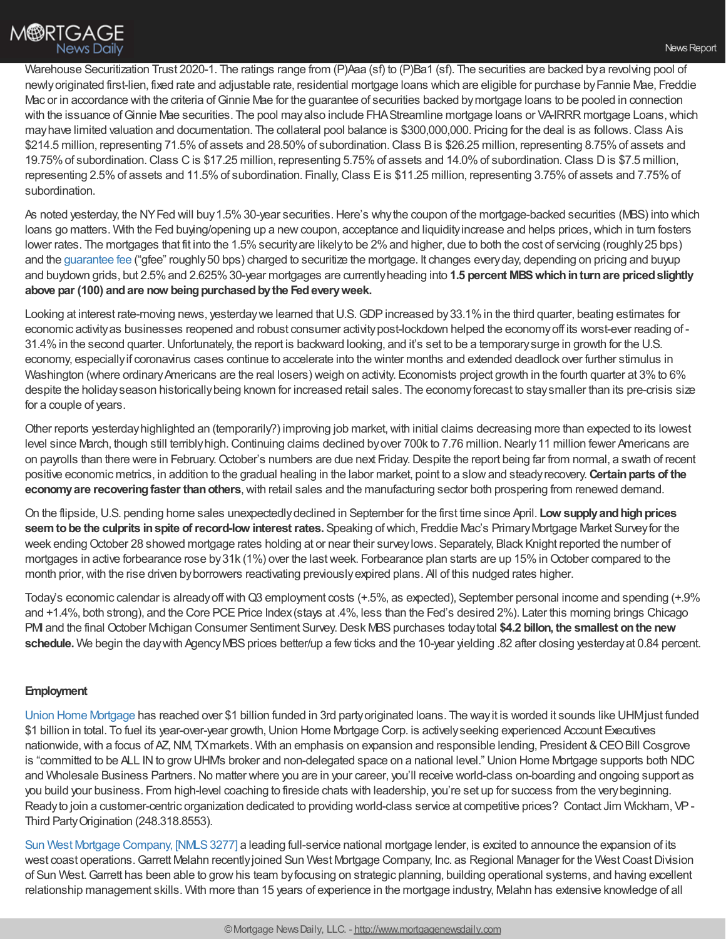Warehouse Securitization Trust 2020-1. The ratings range from (P)Aaa (sf) to (P)Ba1 (sf). The securities are backed by a revolving pool of newlyoriginated first-lien, fixed rate and adjustable rate, residential mortgage loans which are eligible for purchase byFannie Mae, Freddie Mac or in accordance with the criteria of Ginnie Mae for the guarantee of securities backed by mortgage loans to be pooled in connection with the issuance of Ginnie Mae securities. The pool may also include FHA Streamline mortgage loans or VA-IRRR mortgage Loans, which mayhave limited valuation and documentation. The collateral pool balance is \$300,000,000. Pricing for the deal is as follows.Class Ais \$214.5 million, representing 71.5%of assets and 28.50%of subordination.Class Bis \$26.25 million, representing 8.75%of assets and 19.75%of subordination.Class Cis \$17.25 million, representing 5.75%of assets and 14.0%of subordination.Class Dis \$7.5 million, representing 2.5% of assets and 11.5% of subordination. Finally, Class E is \$11.25 million, representing 3.75% of assets and 7.75% of subordination.

As noted yesterday, the NYFed will buy 1.5% 30-year securities. Here's why the coupon of the mortgage-backed securities (MBS) into which loans go matters. With the Fed buying/opening up a new coupon, acceptance and liquidity increase and helps prices, which in turn fosters lower rates. The mortgages that fit into the 1.5% security are likely to be 2% and higher, due to both the cost of servicing (roughly 25 bps) and the [guarantee](https://www.fhfa.gov/PolicyProgramsResearch/Policy/Pages/Guarantee-Fees-History.aspx) fee ("gfee" roughly 50 bps) charged to securitize the mortgage. It changes every day, depending on pricing and buyup and buydown grids, but 2.5%and 2.625%30-year mortgages are currentlyheading into **1.5 percent MBSwhichinturnare pricedslightly above par (100) andare now beingpurchasedbythe Fedeveryweek.**

Looking at interest rate-moving news, yesterday we learned that U.S. GDP increased by 33.1% in the third quarter, beating estimates for economic activityas businesses reopened and robust consumer activitypost-lockdown helped the economyoff its worst-ever reading of - 31.4%in the second quarter.Unfortunately, the report is backward looking, and it's set to be a temporarysurge in growth for the U.S. economy, especiallyif coronavirus cases continue to accelerate into the winter months and extended deadlock over further stimulus in Washington (where ordinary Americans are the real losers) weigh on activity. Economists project growth in the fourth quarter at 3% to 6% despite the holiday season historically being known for increased retail sales. The economy forecast to stay smaller than its pre-crisis size for a couple of years.

Other reports yesterdayhighlighted an (temporarily?) improving job market,with initial claims decreasing more than expected to its lowest level since March, though still terribly high. Continuing claims declined by over 700k to 7.76 million. Nearly 11 million fewer Americans are on payrolls than there were in February.October's numbers are due next Friday.Despite the report being far from normal, a swath of recent positive economic metrics, in addition to the gradual healing in the labor market, point to a slowand steadyrecovery.**Certainparts of the economy are recovering faster than others**, with retail sales and the manufacturing sector both prospering from renewed demand.

On the flipside,U.S. pending home sales unexpectedlydeclined in September for the first time since April. **Low supplyandhighprices seemtobe the culprits inspite ofrecord-low interestrates.** Speaking ofwhich, Freddie Mac's PrimaryMortgage Market Surveyfor the week ending October 28 showed mortgage rates holding at or near their surveylows. Separately, Black Knight reported the number of mortgages in active forbearance rose by 31k (1%) over the last week. Forbearance plan starts are up 15% in October compared to the month prior, with the rise driven by borrowers reactivating previously expired plans. All of this nudged rates higher.

Today's economic calendar is alreadyoffwithQ3 employment costs (+.5%, as expected), September personal income and spending (+.9% and +1.4%, both strong), and the Core PCE Price Index (stays at .4%, less than the Fed's desired 2%). Later this morning brings Chicago PMI and the final October Michigan Consumer Sentiment Survey.Desk MBSpurchases todaytotal **\$4.2 billon, the smallest onthe new** schedule. We begin the day with Agency MBS prices better/up a few ticks and the 10-year yielding .82 after closing yesterday at 0.84 percent.

# **Employment**

Union Home [Mortgage](http://www.uhwholesale.com/) has reached over \$1 billion funded in 3rd partyoriginated loans. The wayit is worded it sounds like UHMjust funded \$1 billion in total. To fuel its year-over-year growth,Union Home Mortgage Corp. is activelyseeking experienced Account Executives nationwide, with a focus of AZ, NM, TX markets. With an emphasis on expansion and responsible lending, President & CEO Bill Cosgrove is "committed to be ALL IN to grow UHMs broker and non-delegated space on a national level." Union Home Mortgage supports both NDC and Wholesale Business Partners.No matter where you are in your career, you'll receive world-class on-boarding and ongoing support as you build your business. From high-level coaching to fireside chats with leadership, you're set up for success from the verybeginning. Readyto join a customer-centric organization dedicated to providing world-class service at competitive prices? Contact Jim Wickham, VP-Third PartyOrigination (248.318.8553).

Sun West Mortgage Company, [\[NMLS3277\]](https://www.swmc.com/disclaimer.php) a leading full-service national mortgage lender, is excited to announce the expansion of its west coast operations. Garrett Melahn recently joined Sun West Mortgage Company, Inc. as Regional Manager for the West Coast Division of Sun West.Garrett has been able to growhis team byfocusing on strategic planning, building operational systems, and having excellent relationship management skills. With more than 15 years of experience in the mortgage industry, Melahn has extensive knowledge of all